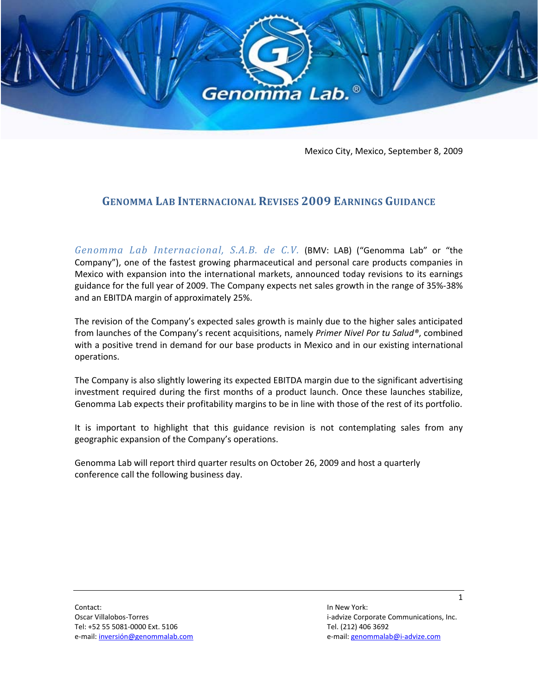

Mexico City, Mexico, September 8, 2009

## **GENOMMA LAB INTERNACIONAL REVISES 2009 EARNINGS GUIDANCE**

*Genomma Lab Internacional, S.A.B. de C.V.* (BMV: LAB) ("Genomma Lab" or "the Company"), one of the fastest growing pharmaceutical and personal care products companies in Mexico with expansion into the international markets, announced today revisions to its earnings guidance for the full year of 2009. The Company expects net sales growth in the range of 35%‐38% and an EBITDA margin of approximately 25%.

The revision of the Company's expected sales growth is mainly due to the higher sales anticipated from launches of the Company's recent acquisitions, namely *Primer Nivel Por tu Salud®*, combined with a positive trend in demand for our base products in Mexico and in our existing international operations.

The Company is also slightly lowering its expected EBITDA margin due to the significant advertising investment required during the first months of a product launch. Once these launches stabilize, Genomma Lab expects their profitability margins to be in line with those of the rest of its portfolio.

It is important to highlight that this guidance revision is not contemplating sales from any geographic expansion of the Company's operations.

Genomma Lab will report third quarter results on October 26, 2009 and host a quarterly conference call the following business day.

Oscar Villalobos-Torres **by the Contract of Contract Confident** inc. The increase of the set of the set of the set of the set of the set of the set of the set of the set of the set of the set of the set of the set of the s